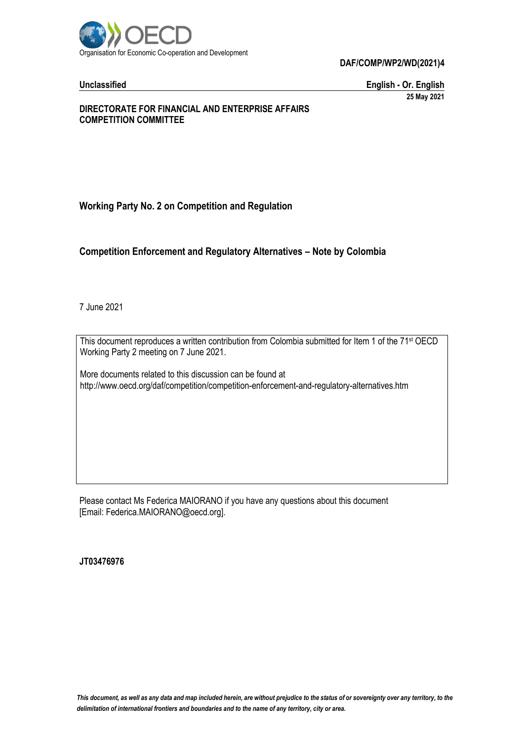

**DAF/COMP/WP2/WD(2021)4**

**Unclassified English - Or. English 25 May 2021**

## **DIRECTORATE FOR FINANCIAL AND ENTERPRISE AFFAIRS COMPETITION COMMITTEE**

# **Working Party No. 2 on Competition and Regulation**

# **Competition Enforcement and Regulatory Alternatives – Note by Colombia**

7 June 2021

This document reproduces a written contribution from Colombia submitted for Item 1 of the 71<sup>st</sup> OECD Working Party 2 meeting on 7 June 2021.

More documents related to this discussion can be found at http://www.oecd.org/daf/competition/competition-enforcement-and-regulatory-alternatives.htm

Please contact Ms Federica MAIORANO if you have any questions about this document [Email: Federica.MAIORANO@oecd.org].

**JT03476976**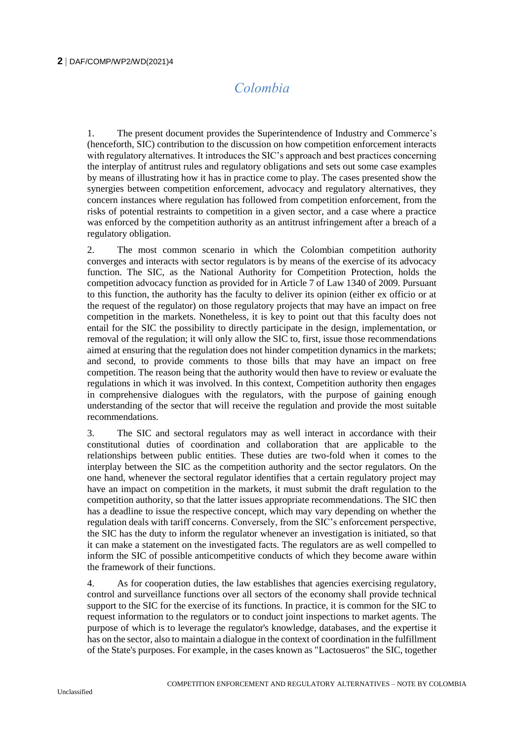# *Colombia*

1. The present document provides the Superintendence of Industry and Commerce's (henceforth, SIC) contribution to the discussion on how competition enforcement interacts with regulatory alternatives. It introduces the SIC's approach and best practices concerning the interplay of antitrust rules and regulatory obligations and sets out some case examples by means of illustrating how it has in practice come to play. The cases presented show the synergies between competition enforcement, advocacy and regulatory alternatives, they concern instances where regulation has followed from competition enforcement, from the risks of potential restraints to competition in a given sector, and a case where a practice was enforced by the competition authority as an antitrust infringement after a breach of a regulatory obligation.

2. The most common scenario in which the Colombian competition authority converges and interacts with sector regulators is by means of the exercise of its advocacy function. The SIC, as the National Authority for Competition Protection, holds the competition advocacy function as provided for in Article 7 of Law 1340 of 2009. Pursuant to this function, the authority has the faculty to deliver its opinion (either ex officio or at the request of the regulator) on those regulatory projects that may have an impact on free competition in the markets. Nonetheless, it is key to point out that this faculty does not entail for the SIC the possibility to directly participate in the design, implementation, or removal of the regulation; it will only allow the SIC to, first, issue those recommendations aimed at ensuring that the regulation does not hinder competition dynamics in the markets; and second, to provide comments to those bills that may have an impact on free competition. The reason being that the authority would then have to review or evaluate the regulations in which it was involved. In this context, Competition authority then engages in comprehensive dialogues with the regulators, with the purpose of gaining enough understanding of the sector that will receive the regulation and provide the most suitable recommendations.

3. The SIC and sectoral regulators may as well interact in accordance with their constitutional duties of coordination and collaboration that are applicable to the relationships between public entities. These duties are two-fold when it comes to the interplay between the SIC as the competition authority and the sector regulators. On the one hand, whenever the sectoral regulator identifies that a certain regulatory project may have an impact on competition in the markets, it must submit the draft regulation to the competition authority, so that the latter issues appropriate recommendations. The SIC then has a deadline to issue the respective concept, which may vary depending on whether the regulation deals with tariff concerns. Conversely, from the SIC's enforcement perspective, the SIC has the duty to inform the regulator whenever an investigation is initiated, so that it can make a statement on the investigated facts. The regulators are as well compelled to inform the SIC of possible anticompetitive conducts of which they become aware within the framework of their functions.

4. As for cooperation duties, the law establishes that agencies exercising regulatory, control and surveillance functions over all sectors of the economy shall provide technical support to the SIC for the exercise of its functions. In practice, it is common for the SIC to request information to the regulators or to conduct joint inspections to market agents. The purpose of which is to leverage the regulator's knowledge, databases, and the expertise it has on the sector, also to maintain a dialogue in the context of coordination in the fulfillment of the State's purposes. For example, in the cases known as "Lactosueros" the SIC, together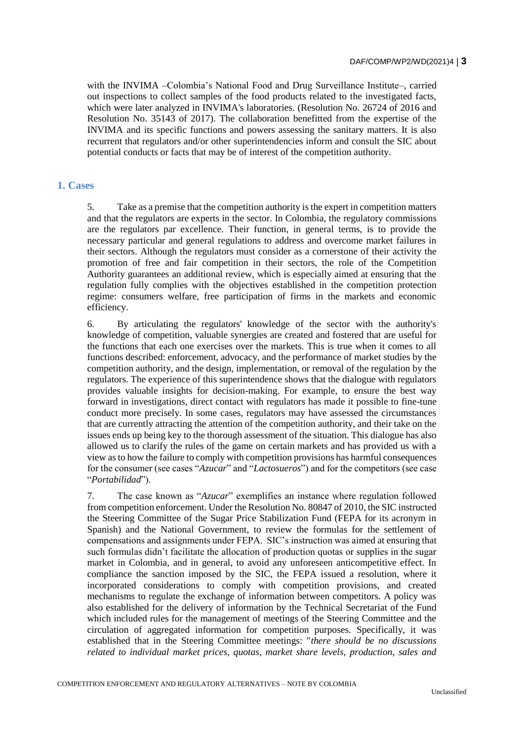with the INVIMA –Colombia's National Food and Drug Surveillance Institute–, carried out inspections to collect samples of the food products related to the investigated facts, which were later analyzed in INVIMA's laboratories. (Resolution No. 26724 of 2016 and Resolution No. 35143 of 2017). The collaboration benefitted from the expertise of the INVIMA and its specific functions and powers assessing the sanitary matters. It is also recurrent that regulators and/or other superintendencies inform and consult the SIC about potential conducts or facts that may be of interest of the competition authority.

### **1. Cases**

5. Take as a premise that the competition authority is the expert in competition matters and that the regulators are experts in the sector. In Colombia, the regulatory commissions are the regulators par excellence. Their function, in general terms, is to provide the necessary particular and general regulations to address and overcome market failures in their sectors. Although the regulators must consider as a cornerstone of their activity the promotion of free and fair competition in their sectors, the role of the Competition Authority guarantees an additional review, which is especially aimed at ensuring that the regulation fully complies with the objectives established in the competition protection regime: consumers welfare, free participation of firms in the markets and economic efficiency.

6. By articulating the regulators' knowledge of the sector with the authority's knowledge of competition, valuable synergies are created and fostered that are useful for the functions that each one exercises over the markets. This is true when it comes to all functions described: enforcement, advocacy, and the performance of market studies by the competition authority, and the design, implementation, or removal of the regulation by the regulators. The experience of this superintendence shows that the dialogue with regulators provides valuable insights for decision-making. For example, to ensure the best way forward in investigations, direct contact with regulators has made it possible to fine-tune conduct more precisely. In some cases, regulators may have assessed the circumstances that are currently attracting the attention of the competition authority, and their take on the issues ends up being key to the thorough assessment of the situation. This dialogue has also allowed us to clarify the rules of the game on certain markets and has provided us with a view as to how the failure to comply with competition provisions has harmful consequences for the consumer (see cases "*Azucar*" and "*Lactosueros*") and for the competitors (see case "*Portabilidad*").

7. The case known as "*Azucar*" exemplifies an instance where regulation followed from competition enforcement. Under the Resolution No. 80847 of 2010, the SIC instructed the Steering Committee of the Sugar Price Stabilization Fund (FEPA for its acronym in Spanish) and the National Government, to review the formulas for the settlement of compensations and assignments under FEPA. SIC's instruction was aimed at ensuring that such formulas didn't facilitate the allocation of production quotas or supplies in the sugar market in Colombia, and in general, to avoid any unforeseen anticompetitive effect. In compliance the sanction imposed by the SIC, the FEPA issued a resolution, where it incorporated considerations to comply with competition provisions, and created mechanisms to regulate the exchange of information between competitors. A policy was also established for the delivery of information by the Technical Secretariat of the Fund which included rules for the management of meetings of the Steering Committee and the circulation of aggregated information for competition purposes. Specifically, it was established that in the Steering Committee meetings: "*there should be no discussions related to individual market prices, quotas, market share levels, production, sales and*